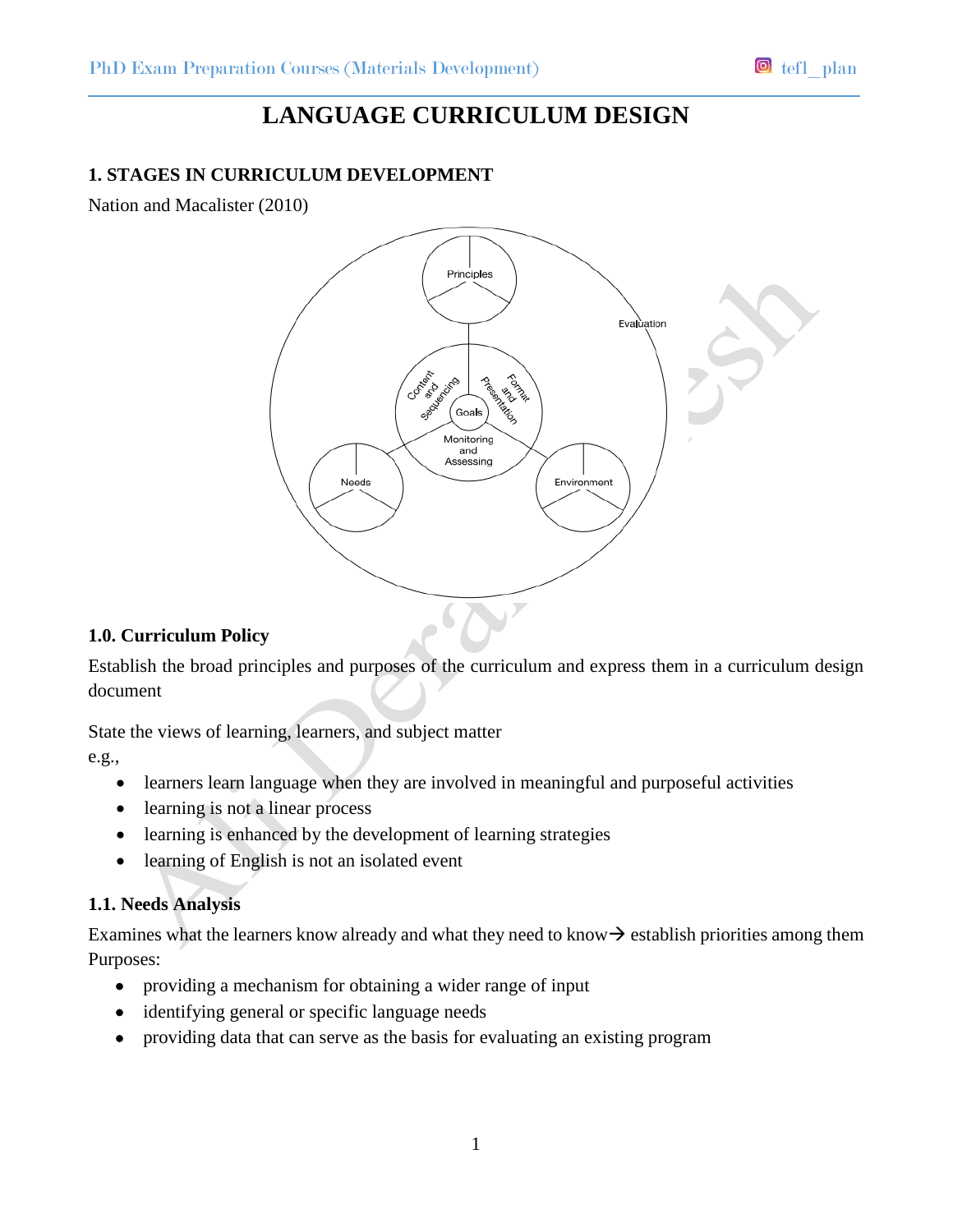# **LANGUAGE CURRICULUM DESIGN**

# **1. STAGES IN CURRICULUM DEVELOPMENT**

Nation and Macalister (2010)



#### **1.0. Curriculum Policy**

Establish the broad principles and purposes of the curriculum and express them in a curriculum design document

State the views of learning, learners, and subject matter

e.g.,

- learners learn language when they are involved in meaningful and purposeful activities
- learning is not a linear process
- learning is enhanced by the development of learning strategies
- learning of English is not an isolated event

#### **1.1. Needs Analysis**

Examines what the learners know already and what they need to know  $\rightarrow$  establish priorities among them Purposes:

- providing a mechanism for obtaining a wider range of input
- identifying general or specific language needs
- providing data that can serve as the basis for evaluating an existing program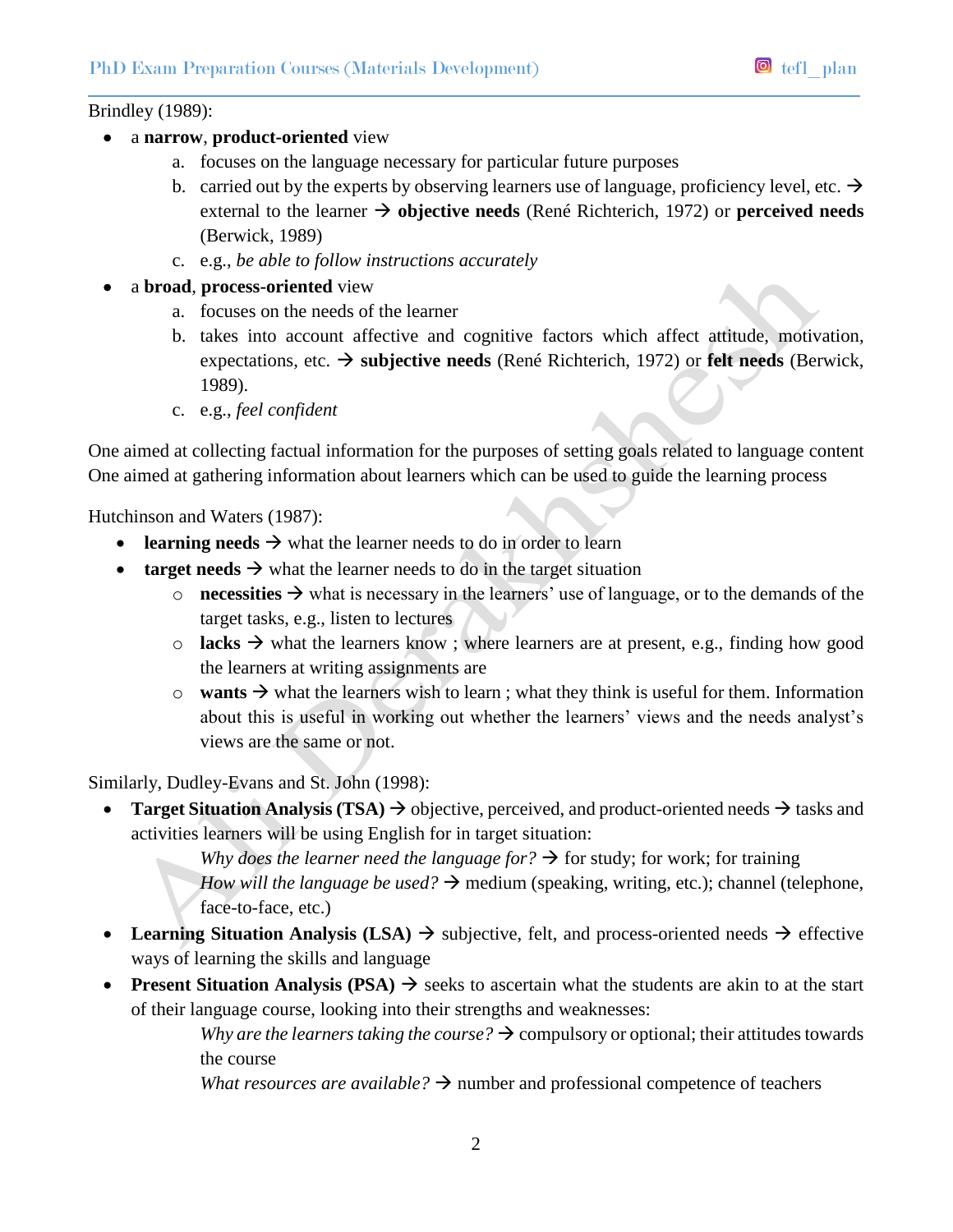#### Brindley (1989):

- a **narrow**, **product-oriented** view
	- a. focuses on the language necessary for particular future purposes
	- b. carried out by the experts by observing learners use of language, proficiency level, etc.  $\rightarrow$ external to the learner  $\rightarrow$  objective needs (René Richterich, 1972) or **perceived needs** (Berwick, 1989)
	- c. e.g., *be able to follow instructions accurately*
- a **broad**, **process-oriented** view
	- a. focuses on the needs of the learner
	- b. takes into account affective and cognitive factors which affect attitude, motivation, expectations, etc.  $\rightarrow$  **subjective needs** (René Richterich, 1972) or **felt needs** (Berwick, 1989).
	- c. e.g., *feel confident*

One aimed at collecting factual information for the purposes of setting goals related to language content One aimed at gathering information about learners which can be used to guide the learning process

Hutchinson and Waters (1987):

- **•** learning needs  $\rightarrow$  what the learner needs to do in order to learn
- **target needs**  $\rightarrow$  what the learner needs to do in the target situation
	- $\circ$  **necessities**  $\rightarrow$  what is necessary in the learners' use of language, or to the demands of the target tasks, e.g., listen to lectures
	- $\circ$  **lacks**  $\rightarrow$  what the learners know; where learners are at present, e.g., finding how good the learners at writing assignments are
	- $\circ$  **wants**  $\rightarrow$  what the learners wish to learn; what they think is useful for them. Information about this is useful in working out whether the learners' views and the needs analyst's views are the same or not.

Similarly, Dudley-Evans and St. John (1998):

**Target Situation Analysis (TSA)**  $\rightarrow$  objective, perceived, and product-oriented needs  $\rightarrow$  tasks and activities learners will be using English for in target situation:

> *Why does the learner need the language for?*  $\rightarrow$  for study; for work; for training *How will the language be used?*  $\rightarrow$  medium (speaking, writing, etc.); channel (telephone, face-to-face, etc.)

- Learning Situation Analysis (LSA)  $\rightarrow$  subjective, felt, and process-oriented needs  $\rightarrow$  effective ways of learning the skills and language
- **Present Situation Analysis (PSA)**  $\rightarrow$  seeks to ascertain what the students are akin to at the start of their language course, looking into their strengths and weaknesses:

*Why are the learners taking the course?*  $\rightarrow$  compulsory or optional; their attitudes towards the course

*What resources are available?*  $\rightarrow$  number and professional competence of teachers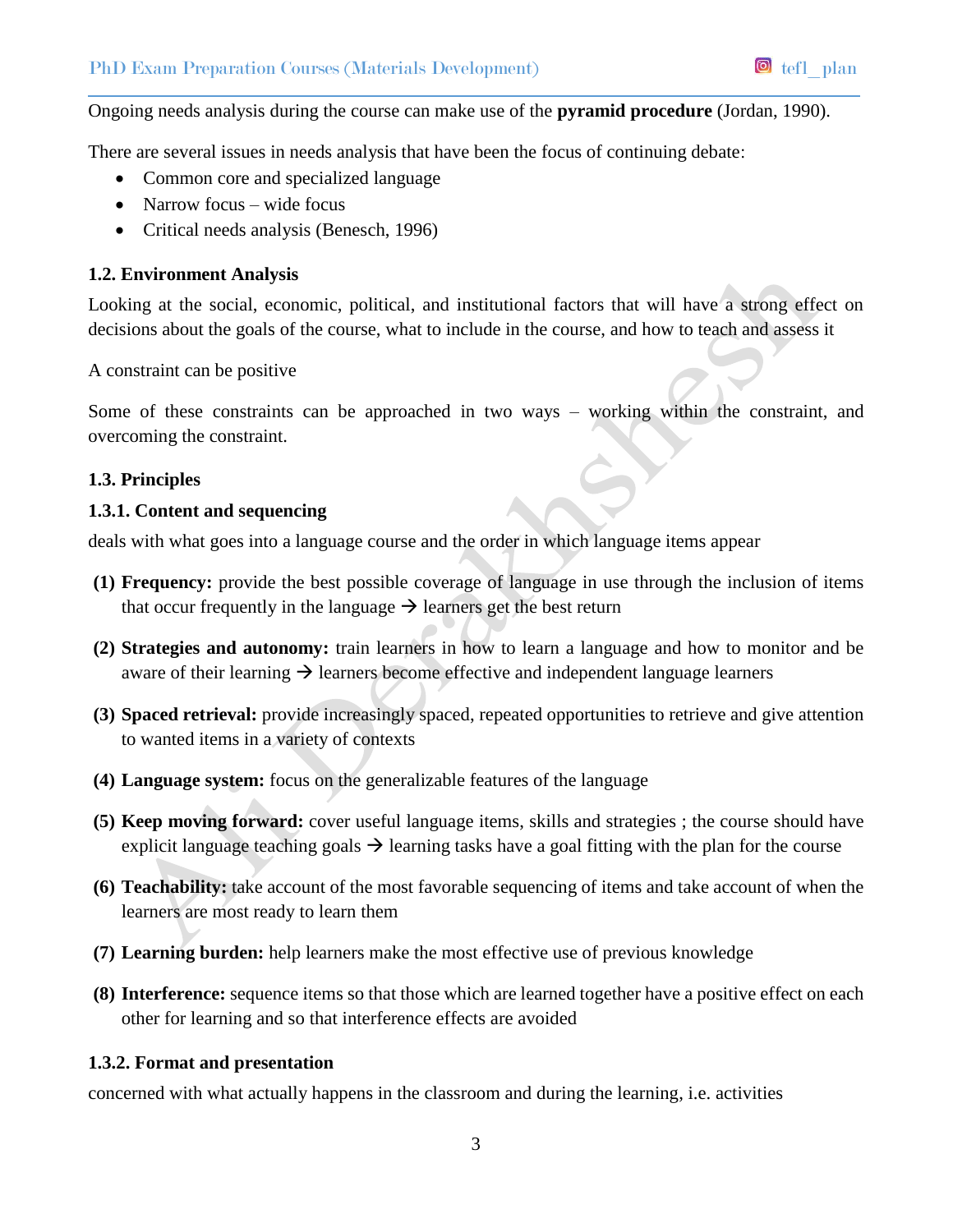#### Ongoing needs analysis during the course can make use of the **pyramid procedure** (Jordan, 1990).

There are several issues in needs analysis that have been the focus of continuing debate:

- Common core and specialized language
- Narrow focus wide focus
- Critical needs analysis (Benesch, 1996)

#### **1.2. Environment Analysis**

Looking at the social, economic, political, and institutional factors that will have a strong effect on decisions about the goals of the course, what to include in the course, and how to teach and assess it

A constraint can be positive

Some of these constraints can be approached in two ways – working within the constraint, and overcoming the constraint.

#### **1.3. Principles**

#### **1.3.1. Content and sequencing**

deals with what goes into a language course and the order in which language items appear

- **(1) Frequency:** provide the best possible coverage of language in use through the inclusion of items that occur frequently in the language  $\rightarrow$  learners get the best return
- **(2) Strategies and autonomy:** train learners in how to learn a language and how to monitor and be aware of their learning  $\rightarrow$  learners become effective and independent language learners
- **(3) Spaced retrieval:** provide increasingly spaced, repeated opportunities to retrieve and give attention to wanted items in a variety of contexts
- **(4) Language system:** focus on the generalizable features of the language
- **(5) Keep moving forward:** cover useful language items, skills and strategies ; the course should have explicit language teaching goals  $\rightarrow$  learning tasks have a goal fitting with the plan for the course
- **(6) Teachability:** take account of the most favorable sequencing of items and take account of when the learners are most ready to learn them
- **(7) Learning burden:** help learners make the most effective use of previous knowledge
- **(8) Interference:** sequence items so that those which are learned together have a positive effect on each other for learning and so that interference effects are avoided

#### **1.3.2. Format and presentation**

concerned with what actually happens in the classroom and during the learning, i.e. activities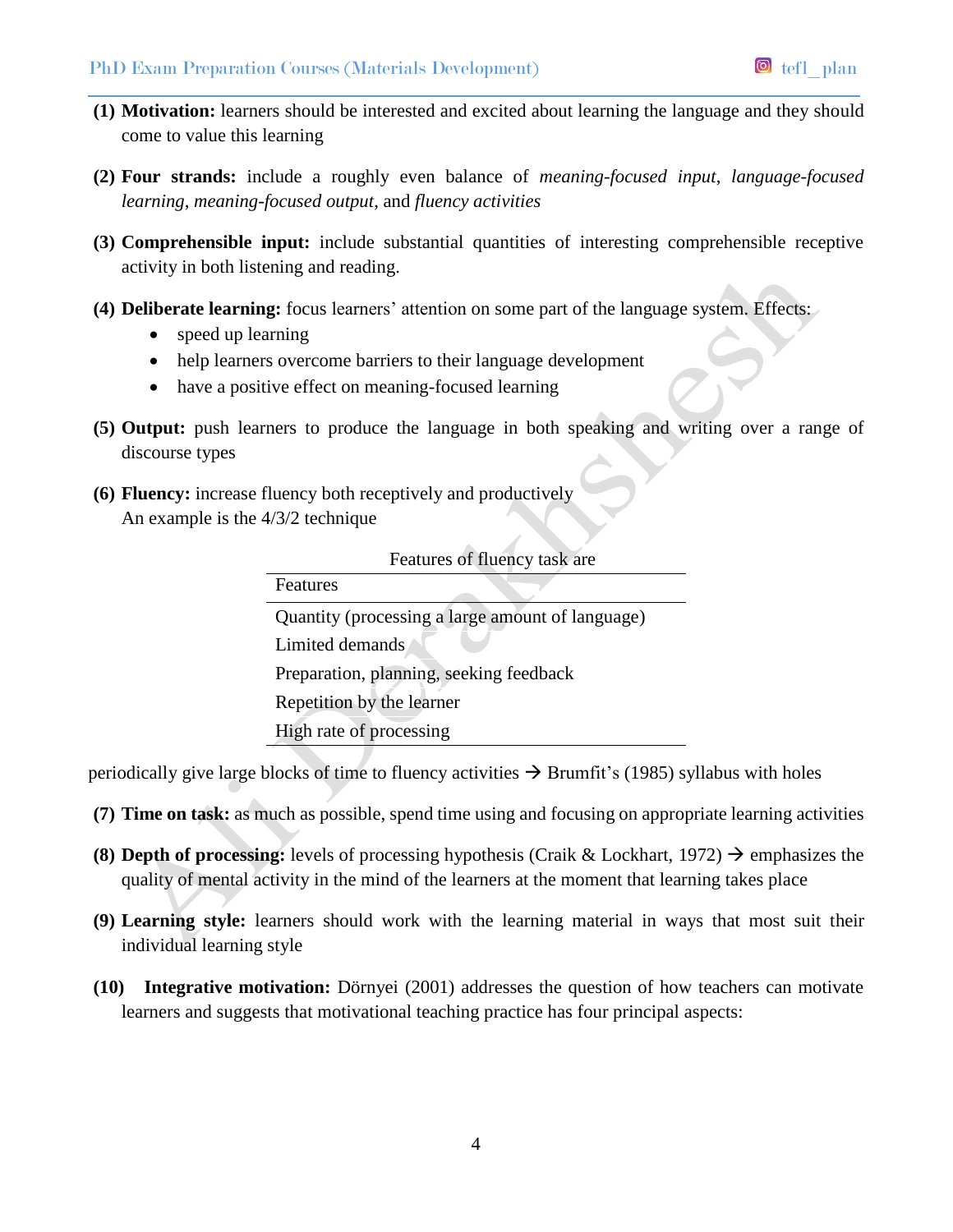- **(1) Motivation:** learners should be interested and excited about learning the language and they should come to value this learning
- **(2) Four strands:** include a roughly even balance of *meaning-focused input*, *language-focused learning*, *meaning-focused output*, and *fluency activities*
- **(3) Comprehensible input:** include substantial quantities of interesting comprehensible receptive activity in both listening and reading.
- **(4) Deliberate learning:** focus learners' attention on some part of the language system. Effects:
	- speed up learning
	- help learners overcome barriers to their language development
	- have a positive effect on meaning-focused learning
- **(5) Output:** push learners to produce the language in both speaking and writing over a range of discourse types
- **(6) Fluency:** increase fluency both receptively and productively An example is the 4/3/2 technique

| Features of fluency task are                     |
|--------------------------------------------------|
| Features                                         |
| Quantity (processing a large amount of language) |
| Limited demands                                  |
| Preparation, planning, seeking feedback          |
| Repetition by the learner                        |
| High rate of processing                          |

periodically give large blocks of time to fluency activities  $\rightarrow$  Brumfit's (1985) syllabus with holes

- **(7) Time on task:** as much as possible, spend time using and focusing on appropriate learning activities
- **(8) Depth of processing:** levels of processing hypothesis (Craik & Lockhart, 1972)  $\rightarrow$  emphasizes the quality of mental activity in the mind of the learners at the moment that learning takes place
- **(9) Learning style:** learners should work with the learning material in ways that most suit their individual learning style
- **(10) Integrative motivation:** Dörnyei (2001) addresses the question of how teachers can motivate learners and suggests that motivational teaching practice has four principal aspects: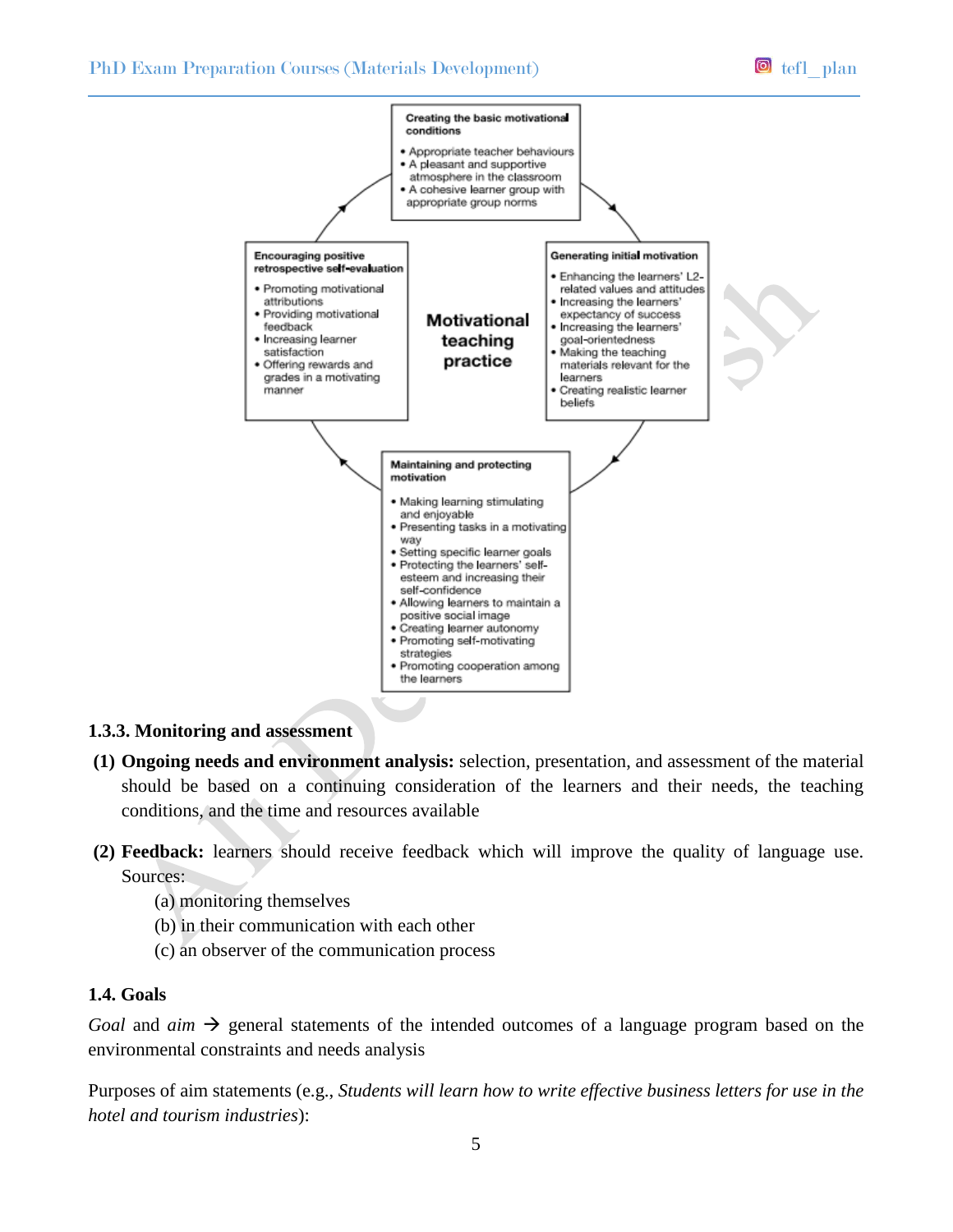

#### **1.3.3. Monitoring and assessment**

- **(1) Ongoing needs and environment analysis:** selection, presentation, and assessment of the material should be based on a continuing consideration of the learners and their needs, the teaching conditions, and the time and resources available
- **(2) Feedback:** learners should receive feedback which will improve the quality of language use. Sources:
	- (a) monitoring themselves
	- (b) in their communication with each other
	- (c) an observer of the communication process

#### **1.4. Goals**

*Goal* and  $\dim \rightarrow$  general statements of the intended outcomes of a language program based on the environmental constraints and needs analysis

Purposes of aim statements (e.g., *Students will learn how to write effective business letters for use in the hotel and tourism industries*):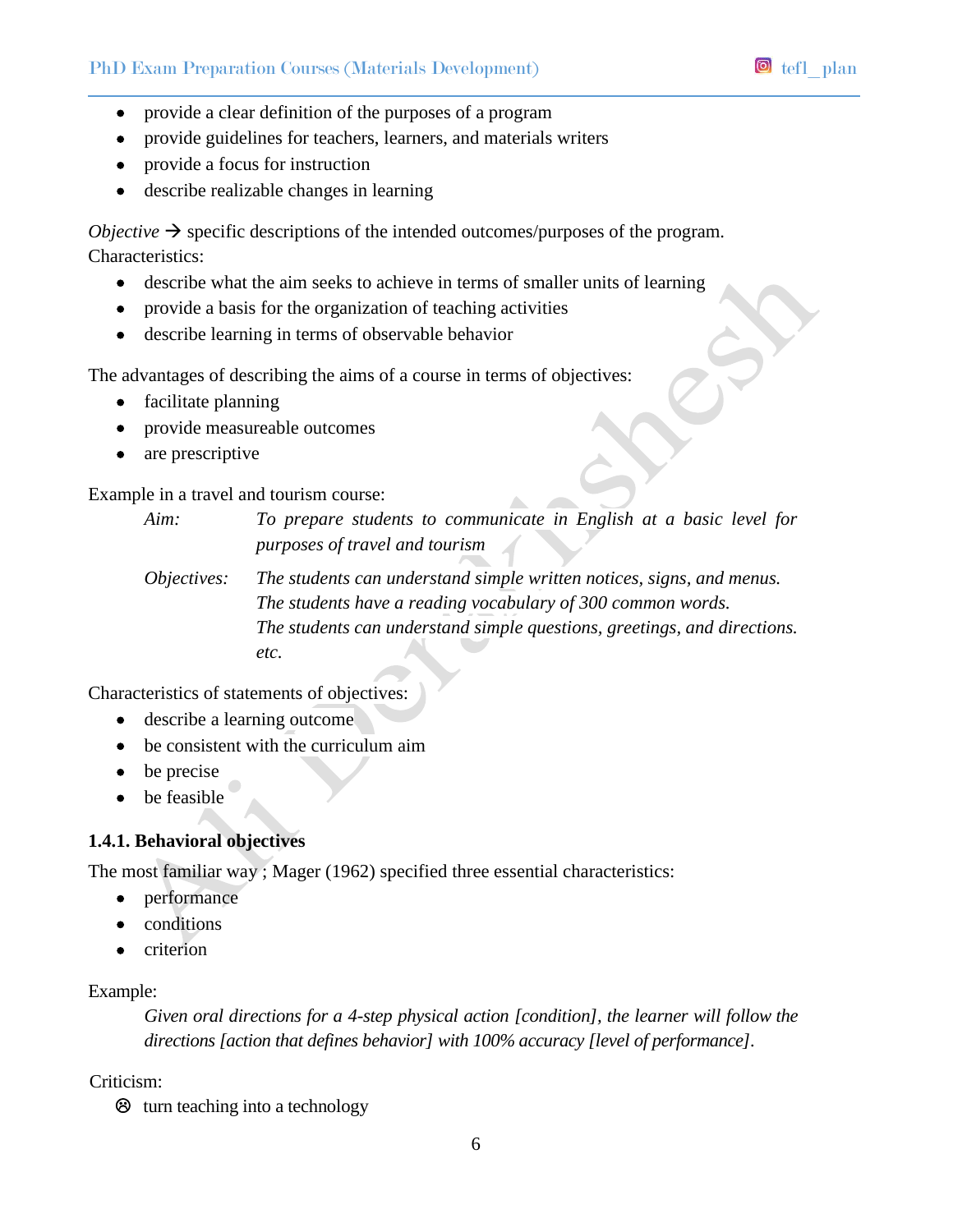- provide a clear definition of the purposes of a program
- provide guidelines for teachers, learners, and materials writers
- provide a focus for instruction
- describe realizable changes in learning

*Objective*  $\rightarrow$  specific descriptions of the intended outcomes/purposes of the program. Characteristics:

- describe what the aim seeks to achieve in terms of smaller units of learning
- provide a basis for the organization of teaching activities
- describe learning in terms of observable behavior

The advantages of describing the aims of a course in terms of objectives:

- facilitate planning
- provide measureable outcomes
- are prescriptive

Example in a travel and tourism course:

*Aim: To prepare students to communicate in English at a basic level for purposes of travel and tourism*

*Objectives: The students can understand simple written notices, signs, and menus. The students have a reading vocabulary of 300 common words. The students can understand simple questions, greetings, and directions. etc.*

Characteristics of statements of objectives:

- describe a learning outcome
- be consistent with the curriculum aim
- $\bullet$  be precise
- be feasible

## **1.4.1. Behavioral objectives**

The most familiar way ; Mager (1962) specified three essential characteristics:

- performance
- conditions
- $\bullet$  criterion

## Example:

*Given oral directions for a 4-step physical action [condition], the learner will follow the directions [action that defines behavior] with 100% accuracy [level of performance].*

#### Criticism:

 $\otimes$  turn teaching into a technology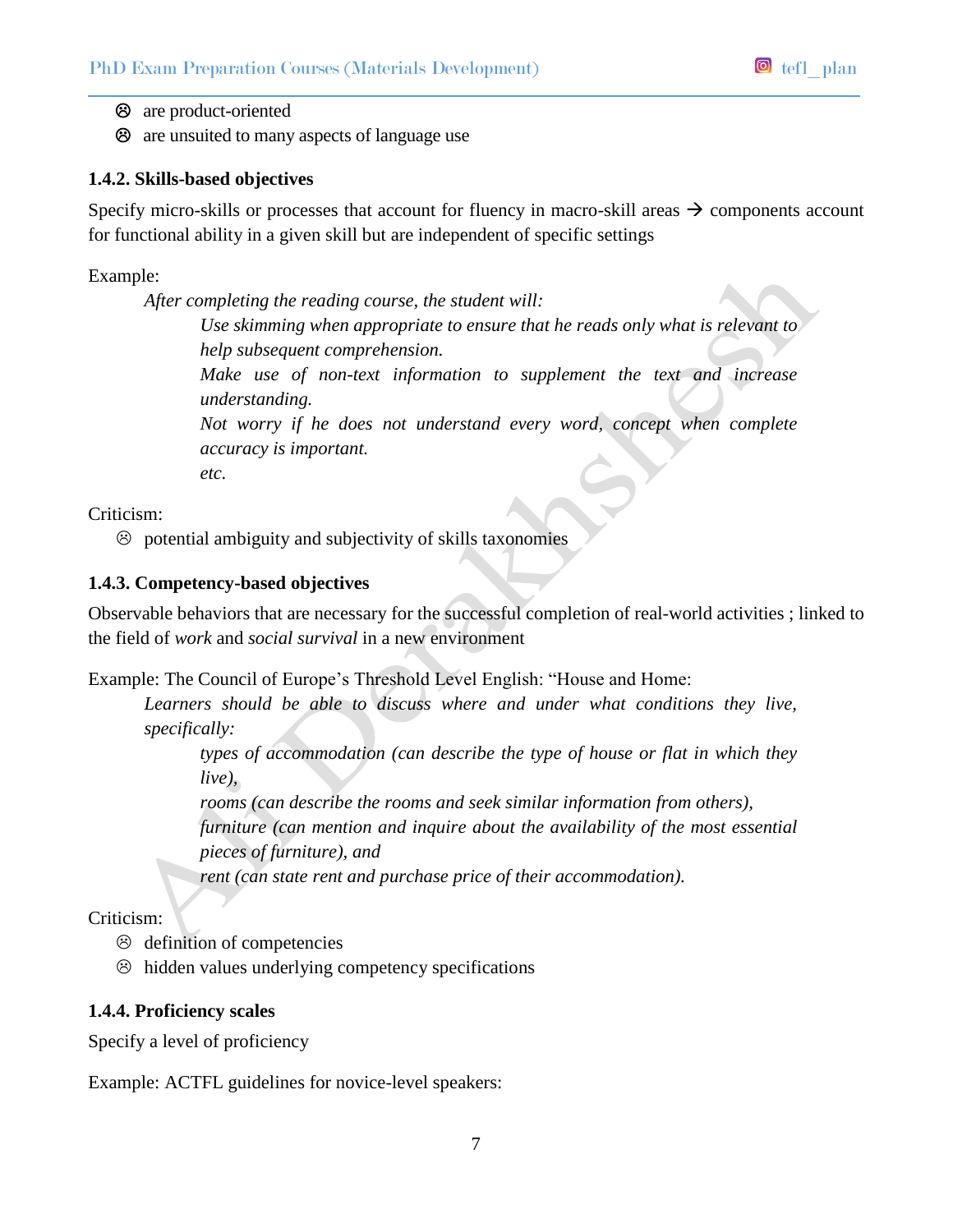are product-oriented

are unsuited to many aspects of language use

# **1.4.2. Skills-based objectives**

Specify micro-skills or processes that account for fluency in macro-skill areas  $\rightarrow$  components account for functional ability in a given skill but are independent of specific settings

Example:

*After completing the reading course, the student will: Use skimming when appropriate to ensure that he reads only what is relevant to help subsequent comprehension. Make use of non-text information to supplement the text and increase understanding. Not worry if he does not understand every word, concept when complete accuracy is important. etc.*

Criticism:

 $\odot$  potential ambiguity and subjectivity of skills taxonomies

# **1.4.3. Competency-based objectives**

Observable behaviors that are necessary for the successful completion of real-world activities ; linked to the field of *work* and *social survival* in a new environment

Example: The Council of Europe's Threshold Level English: "House and Home:

Learners should be able to discuss where and under what conditions they live, *specifically:* 

*types of accommodation (can describe the type of house or flat in which they live),* 

*rooms (can describe the rooms and seek similar information from others), furniture (can mention and inquire about the availability of the most essential pieces of furniture), and* 

*rent (can state rent and purchase price of their accommodation).* 

Criticism:

- $\odot$  definition of competencies
- $\odot$  hidden values underlying competency specifications

# **1.4.4. Proficiency scales**

Specify a level of proficiency

Example: ACTFL guidelines for novice-level speakers: